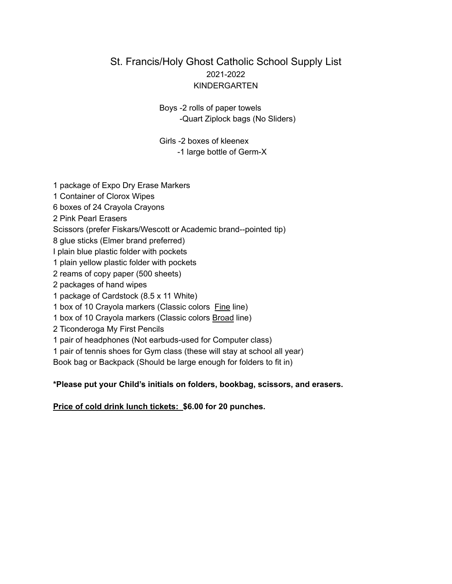#### St. Francis/Holy Ghost Catholic School Supply List 2021-2022 KINDERGARTEN

Boys -2 rolls of paper towels -Quart Ziplock bags (No Sliders)

Girls -2 boxes of kleenex -1 large bottle of Germ-X

 package of Expo Dry Erase Markers Container of Clorox Wipes boxes of 24 Crayola Crayons Pink Pearl Erasers Scissors (prefer Fiskars/Wescott or Academic brand--pointed tip) glue sticks (Elmer brand preferred) I plain blue plastic folder with pockets plain yellow plastic folder with pockets reams of copy paper (500 sheets) packages of hand wipes package of Cardstock (8.5 x 11 White) box of 10 Crayola markers (Classic colors Fine line) box of 10 Crayola markers (Classic colors Broad line) Ticonderoga My First Pencils pair of headphones (Not earbuds-used for Computer class) pair of tennis shoes for Gym class (these will stay at school all year) Book bag or Backpack (Should be large enough for folders to fit in) **\*Please put your Child's initials on folders, bookbag, scissors, and erasers.**

#### **Price of cold drink lunch tickets: \$6.00 for 20 punches.**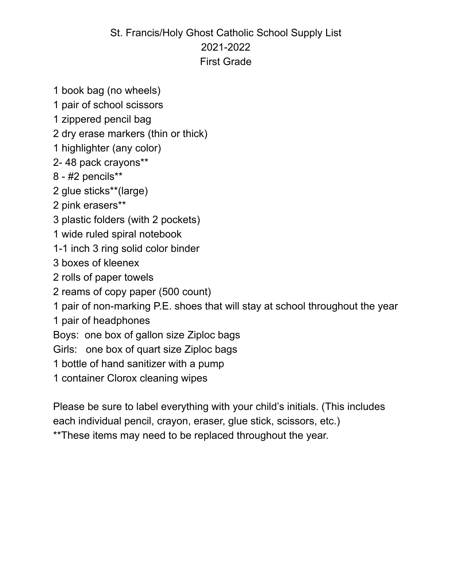# St. Francis/Holy Ghost Catholic School Supply List 2021-2022 First Grade

- book bag (no wheels)
- pair of school scissors
- zippered pencil bag
- dry erase markers (thin or thick)
- highlighter (any color)
- 2- 48 pack crayons\*\*
- #2 pencils\*\*
- glue sticks\*\*(large)
- pink erasers\*\*
- plastic folders (with 2 pockets)
- wide ruled spiral notebook
- 1-1 inch 3 ring solid color binder
- boxes of kleenex
- rolls of paper towels
- reams of copy paper (500 count)
- pair of non-marking P.E. shoes that will stay at school throughout the year
- pair of headphones
- Boys: one box of gallon size Ziploc bags
- Girls: one box of quart size Ziploc bags
- bottle of hand sanitizer with a pump
- container Clorox cleaning wipes

Please be sure to label everything with your child's initials. (This includes each individual pencil, crayon, eraser, glue stick, scissors, etc.) \*\*These items may need to be replaced throughout the year.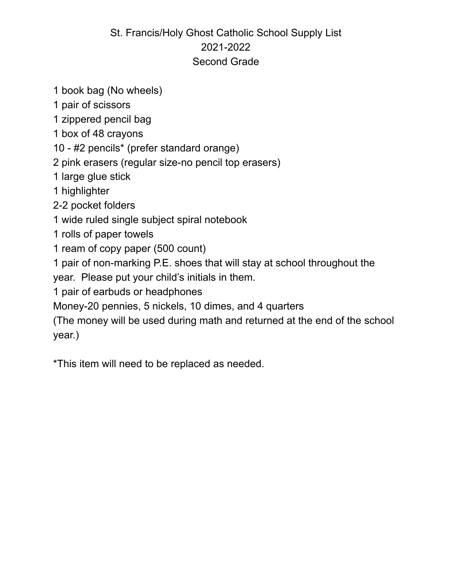# St. Francis/Holy Ghost Catholic School Supply List 2021-2022 Second Grade

- 1 book bag (No wheels)
- 1 pair of scissors
- 1 zippered pencil bag
- 1 box of 48 crayons
- 10 #2 pencils\* (prefer standard orange)
- 2 pink erasers (regular size-no pencil top erasers)
- 1 large glue stick
- 1 highlighter
- 2-2 pocket folders
- 1 wide ruled single subject spiral notebook
- 1 rolls of paper towels
- 1 ream of copy paper (500 count)
- 1 pair of non-marking P.E. shoes that will stay at school throughout the
- year. Please put your child's initials in them.
- 1 pair of earbuds or headphones
- Money-20 pennies, 5 nickels, 10 dimes, and 4 quarters
- (The money will be used during math and returned at the end of the school year.)
- \*This item will need to be replaced as needed.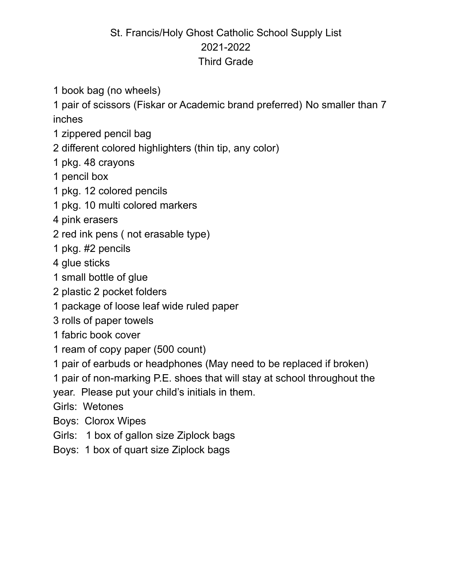# St. Francis/Holy Ghost Catholic School Supply List 2021-2022 Third Grade

book bag (no wheels)

 pair of scissors (Fiskar or Academic brand preferred) No smaller than 7 inches

- zippered pencil bag
- different colored highlighters (thin tip, any color)
- pkg. 48 crayons
- pencil box
- pkg. 12 colored pencils
- pkg. 10 multi colored markers
- pink erasers
- red ink pens ( not erasable type)
- pkg. #2 pencils
- glue sticks
- small bottle of glue
- plastic 2 pocket folders
- package of loose leaf wide ruled paper
- rolls of paper towels
- fabric book cover
- ream of copy paper (500 count)
- pair of earbuds or headphones (May need to be replaced if broken)
- pair of non-marking P.E. shoes that will stay at school throughout the

year. Please put your child's initials in them.

- Girls: Wetones
- Boys: Clorox Wipes
- Girls: 1 box of gallon size Ziplock bags
- Boys: 1 box of quart size Ziplock bags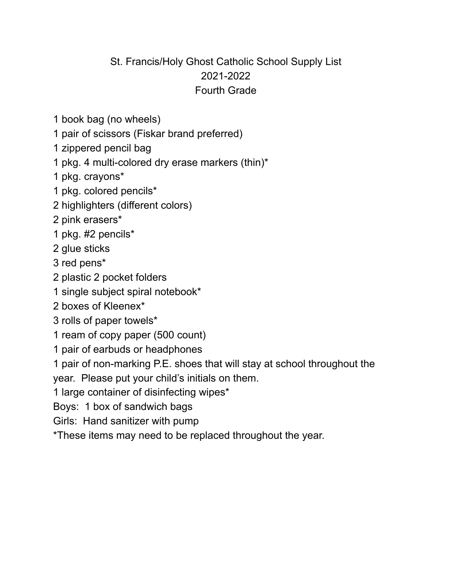#### St. Francis/Holy Ghost Catholic School Supply List 2021-2022 Fourth Grade

- book bag (no wheels)
- pair of scissors (Fiskar brand preferred)
- zippered pencil bag
- pkg. 4 multi-colored dry erase markers (thin)\*
- pkg. crayons\*
- pkg. colored pencils\*
- highlighters (different colors)
- pink erasers\*
- pkg. #2 pencils\*
- glue sticks
- red pens\*
- plastic 2 pocket folders
- single subject spiral notebook\*
- boxes of Kleenex\*
- rolls of paper towels\*
- ream of copy paper (500 count)
- pair of earbuds or headphones

pair of non-marking P.E. shoes that will stay at school throughout the

year. Please put your child's initials on them.

large container of disinfecting wipes\*

Boys: 1 box of sandwich bags

Girls: Hand sanitizer with pump

\*These items may need to be replaced throughout the year.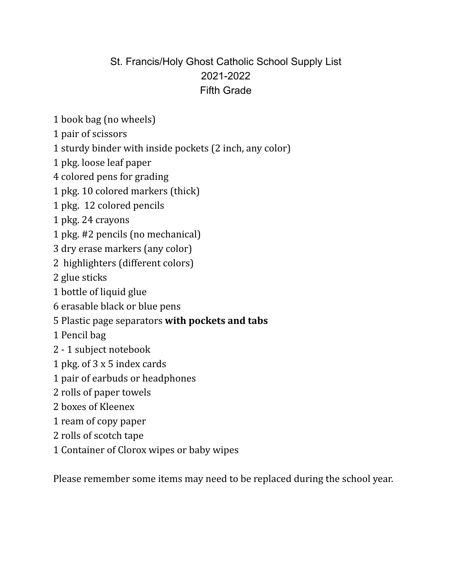# St. Francis/Holy Ghost Catholic School Supply List 2021-2022 Fifth Grade

- book bag (no wheels)
- pair of scissors
- sturdy binder with inside pockets (2 inch, any color)
- pkg. loose leaf paper
- colored pens for grading
- pkg. 10 colored markers (thick)
- pkg. 12 colored pencils
- pkg. 24 crayons
- pkg. #2 pencils (no mechanical)
- dry erase markers (any color)
- highlighters (different colors)
- glue sticks
- bottle of liquid glue
- erasable black or blue pens
- Plastic page separators **with pockets and tabs**
- Pencil bag
- 1 subject notebook
- pkg. of 3 x 5 index cards
- pair of earbuds or headphones
- rolls of paper towels
- boxes of Kleenex
- ream of copy paper
- rolls of scotch tape
- Container of Clorox wipes or baby wipes

Please remember some items may need to be replaced during the school year.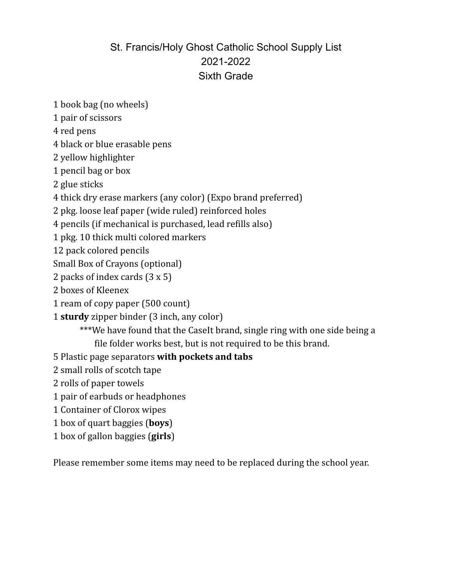### St. Francis/Holy Ghost Catholic School Supply List 2021-2022 Sixth Grade

book bag (no wheels)

pair of scissors

red pens

black or blue erasable pens

yellow highlighter

pencil bag or box

glue sticks

thick dry erase markers (any color) (Expo brand preferred)

pkg. loose leaf paper (wide ruled) reinforced holes

pencils (if mechanical is purchased, lead refills also)

pkg. 10 thick multi colored markers

pack colored pencils

Small Box of Crayons (optional)

packs of index cards (3 x 5)

- boxes of Kleenex
- ream of copy paper (500 count)
- **sturdy** zipper binder (3 inch, any color)

\*\*\*We have found that the CaseIt brand, single ring with one side being a file folder works best, but is not required to be this brand.

- Plastic page separators **with pockets and tabs**
- small rolls of scotch tape
- rolls of paper towels
- pair of earbuds or headphones
- Container of Clorox wipes
- box of quart baggies (**boys**)
- box of gallon baggies (**girls**)

Please remember some items may need to be replaced during the school year.